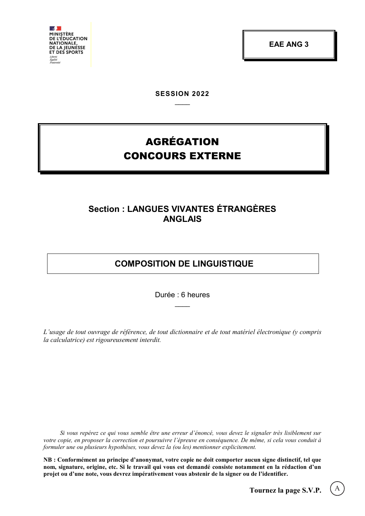

**EAE ANG 3**

**SESSION 2022**  $\overline{\phantom{a}}$ 

# AGRÉGATION CONCOURS EXTERNE

# **Section : LANGUES VIVANTES ÉTRANGÈRES ANGLAIS**

# **COMPOSITION DE LINGUISTIQUE**

Durée : 6 heures  $\overline{\phantom{a}}$ 

*L'usage de tout ouvrage de référence, de tout dictionnaire et de tout matériel électronique (y compris la calculatrice) est rigoureusement interdit.*

*Si vous repérez ce qui vous semble être une erreur d'énoncé, vous devez le signaler très lisiblement sur votre copie, en proposer la correction et poursuivre l'épreuve en conséquence. De même, si cela vous conduit à formuler une ou plusieurs hypothèses, vous devez la (ou les) mentionner explicitement.*

**NB : Conformément au principe d'anonymat, votre copie ne doit comporter aucun signe distinctif, tel que nom, signature, origine, etc. Si le travail qui vous est demandé consiste notamment en la rédaction d'un projet ou d'une note, vous devrez impérativement vous abstenir de la signer ou de l'identifier.**

A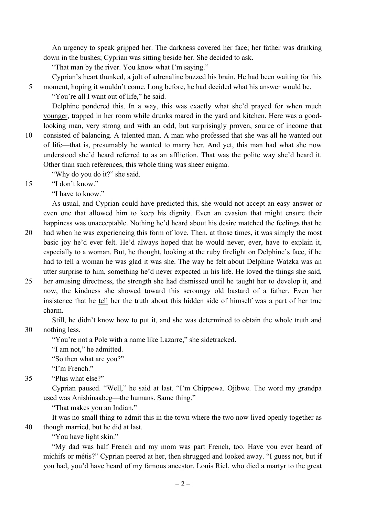An urgency to speak gripped her. The darkness covered her face; her father was drinking down in the bushes; Cyprian was sitting beside her. She decided to ask.

"That man by the river. You know what I'm saying."

Cyprian's heart thunked, a jolt of adrenaline buzzed his brain. He had been waiting for this

5 moment, hoping it wouldn't come. Long before, he had decided what his answer would be.

"You're all I want out of life," he said.

Delphine pondered this. In a way, this was exactly what she'd prayed for when much younger, trapped in her room while drunks roared in the yard and kitchen. Here was a goodlooking man, very strong and with an odd, but surprisingly proven, source of income that

10 consisted of balancing. A talented man. A man who professed that she was all he wanted out of life—that is, presumably he wanted to marry her. And yet, this man had what she now understood she'd heard referred to as an affliction. That was the polite way she'd heard it. Other than such references, this whole thing was sheer enigma.

"Why do you do it?" she said.

15 "I don't know."

"I have to know."

As usual, and Cyprian could have predicted this, she would not accept an easy answer or even one that allowed him to keep his dignity. Even an evasion that might ensure their happiness was unacceptable. Nothing he'd heard about his desire matched the feelings that he

- 20 had when he was experiencing this form of love. Then, at those times, it was simply the most basic joy he'd ever felt. He'd always hoped that he would never, ever, have to explain it, especially to a woman. But, he thought, looking at the ruby firelight on Delphine's face, if he had to tell a woman he was glad it was she. The way he felt about Delphine Watzka was an utter surprise to him, something he'd never expected in his life. He loved the things she said,
- 25 her amusing directness, the strength she had dismissed until he taught her to develop it, and now, the kindness she showed toward this scroungy old bastard of a father. Even her insistence that he tell her the truth about this hidden side of himself was a part of her true charm.

Still, he didn't know how to put it, and she was determined to obtain the whole truth and 30 nothing less.

"You're not a Pole with a name like Lazarre," she sidetracked.

"I am not," he admitted.

"So then what are you?"

"I'm French."

35 "Plus what else?"

Cyprian paused. "Well," he said at last. "I'm Chippewa. Ojibwe. The word my grandpa used was Anishinaabeg—the humans. Same thing."

"That makes you an Indian."

It was no small thing to admit this in the town where the two now lived openly together as 40 though married, but he did at last.

"You have light skin."

"My dad was half French and my mom was part French, too. Have you ever heard of michifs or métis?" Cyprian peered at her, then shrugged and looked away. "I guess not, but if you had, you'd have heard of my famous ancestor, Louis Riel, who died a martyr to the great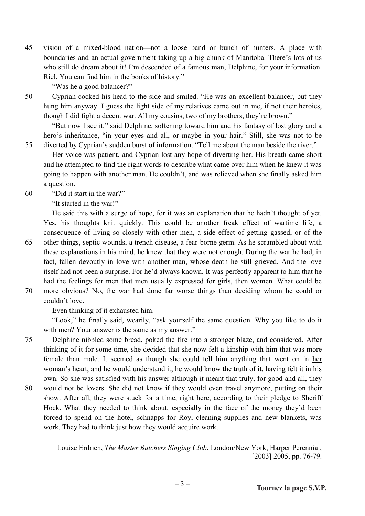45 vision of a mixed-blood nation—not a loose band or bunch of hunters. A place with boundaries and an actual government taking up a big chunk of Manitoba. There's lots of us who still do dream about it! I'm descended of a famous man, Delphine, for your information. Riel. You can find him in the books of history."

"Was he a good balancer?"

50 Cyprian cocked his head to the side and smiled. "He was an excellent balancer, but they hung him anyway. I guess the light side of my relatives came out in me, if not their heroics, though I did fight a decent war. All my cousins, two of my brothers, they're brown."

"But now I see it," said Delphine, softening toward him and his fantasy of lost glory and a hero's inheritance, "in your eyes and all, or maybe in your hair." Still, she was not to be 55 diverted by Cyprian's sudden burst of information. "Tell me about the man beside the river."

Her voice was patient, and Cyprian lost any hope of diverting her. His breath came short and he attempted to find the right words to describe what came over him when he knew it was going to happen with another man. He couldn't, and was relieved when she finally asked him a question.

60 "Did it start in the war?"

"It started in the war!"

He said this with a surge of hope, for it was an explanation that he hadn't thought of yet. Yes, his thoughts knit quickly. This could be another freak effect of wartime life, a consequence of living so closely with other men, a side effect of getting gassed, or of the 65 other things, septic wounds, a trench disease, a fear-borne germ. As he scrambled about with these explanations in his mind, he knew that they were not enough. During the war he had, in fact, fallen devoutly in love with another man, whose death he still grieved. And the love itself had not been a surprise. For he'd always known. It was perfectly apparent to him that he had the feelings for men that men usually expressed for girls, then women. What could be

70 more obvious? No, the war had done far worse things than deciding whom he could or couldn't love.

Even thinking of it exhausted him.

"Look," he finally said, wearily, "ask yourself the same question. Why you like to do it with men? Your answer is the same as my answer."

75 Delphine nibbled some bread, poked the fire into a stronger blaze, and considered. After thinking of it for some time, she decided that she now felt a kinship with him that was more female than male. It seemed as though she could tell him anything that went on in her woman's heart, and he would understand it, he would know the truth of it, having felt it in his own. So she was satisfied with his answer although it meant that truly, for good and all, they

80 would not be lovers. She did not know if they would even travel anymore, putting on their show. After all, they were stuck for a time, right here, according to their pledge to Sheriff Hock. What they needed to think about, especially in the face of the money they'd been forced to spend on the hotel, schnapps for Roy, cleaning supplies and new blankets, was work. They had to think just how they would acquire work.

> Louise Erdrich, *The Master Butchers Singing Club*, London/New York, Harper Perennial, [2003] 2005, pp. 76-79.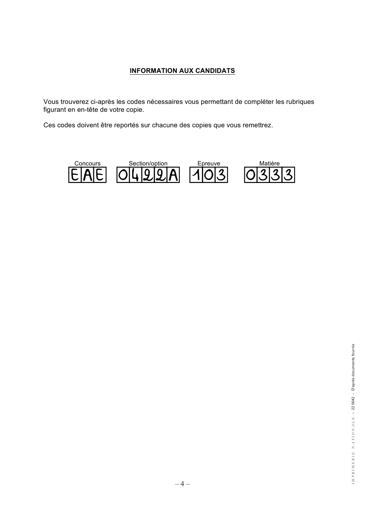## **INFORMATION AUX CANDIDATS**

Vous trouverez ci-après les codes nécessaires vous permettant de compléter les rubriques figurant en en-tête de votre copie.

Ces codes doivent être reportés sur chacune des copies que vous remettrez.

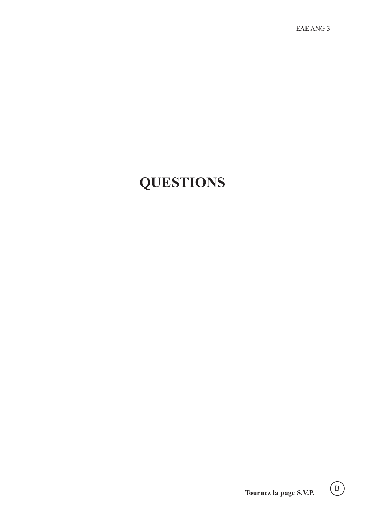EAE ANG 3

# **QUESTIONS**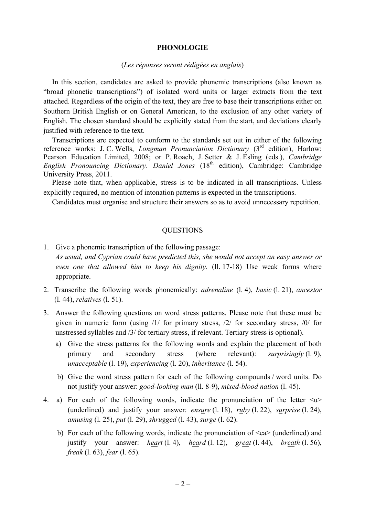#### **PHONOLOGIE**

#### (*Les réponses seront rédigées en anglais*)

In this section, candidates are asked to provide phonemic transcriptions (also known as "broad phonetic transcriptions") of isolated word units or larger extracts from the text attached. Regardless of the origin of the text, they are free to base their transcriptions either on Southern British English or on General American, to the exclusion of any other variety of English. The chosen standard should be explicitly stated from the start, and deviations clearly justified with reference to the text.

Transcriptions are expected to conform to the standards set out in either of the following reference works: J. C. Wells, *Longman Pronunciation Dictionary* (3<sup>rd</sup> edition), Harlow: Pearson Education Limited, 2008; or P. Roach, J. Setter & J. Esling (eds.), *Cambridge English Pronouncing Dictionary. Daniel Jones* (18<sup>th</sup> edition), Cambridge: Cambridge University Press, 2011.

Please note that, when applicable, stress is to be indicated in all transcriptions. Unless explicitly required, no mention of intonation patterns is expected in the transcriptions.

Candidates must organise and structure their answers so as to avoid unnecessary repetition.

#### **QUESTIONS**

- 1. Give a phonemic transcription of the following passage: *As usual, and Cyprian could have predicted this, she would not accept an easy answer or even one that allowed him to keep his dignity*. (ll. 17-18) Use weak forms where appropriate.
- 2. Transcribe the following words phonemically: *adrenaline* (l. 4), *basic* (l. 21), *ancestor*  (l. 44), *relatives* (l. 51).
- 3. Answer the following questions on word stress patterns. Please note that these must be given in numeric form (using /1/ for primary stress, /2/ for secondary stress, /0/ for unstressed syllables and /3/ for tertiary stress, if relevant. Tertiary stress is optional).
	- a) Give the stress patterns for the following words and explain the placement of both primary and secondary stress (where relevant): *surprisingly* (l. 9), *unacceptable* (l. 19), *experiencing* (l. 20), *inheritance* (l. 54).
	- b) Give the word stress pattern for each of the following compounds / word units. Do not justify your answer: *good-looking man* (ll. 8-9), *mixed-blood nation* (l. 45).
- 4.</u> a) For each of the following words, indicate the pronunciation of the letter  $\langle u \rangle$ (underlined) and justify your answer: *ensure* (l. 18), *ruby* (l. 22), *surprise* (l. 24), *amusing* (l. 25), *put* (l. 29), *shrugged* (l. 43), *surge* (l. 62).
	- b) For each of the following words, indicate the pronunciation of  $\leq$ ea $>$  (underlined) and justify your answer: *heart* (l. 4), *heard* (l. 12), *great* (l. 44), *breath* (l. 56), *freak* (l. 63), *fear* (l. 65).